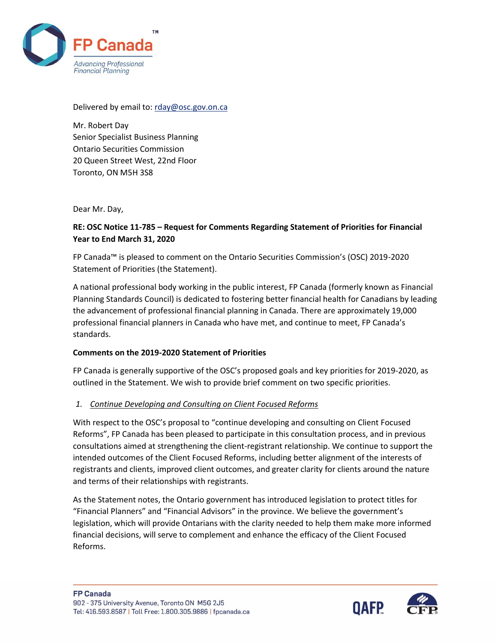

Delivered by email to: [rday@osc.gov.on.ca](mailto:rday@osc.gov.on.ca)

Mr. Robert Day Senior Specialist Business Planning Ontario Securities Commission 20 Queen Street West, 22nd Floor Toronto, ON M5H 3S8

Dear Mr. Day,

## **RE: OSC Notice 11-785 – Request for Comments Regarding Statement of Priorities for Financial Year to End March 31, 2020**

FP Canada™ is pleased to comment on the Ontario Securities Commission's (OSC) 2019-2020 Statement of Priorities (the Statement).

A national professional body working in the public interest, FP Canada (formerly known as Financial Planning Standards Council) is dedicated to fostering better financial health for Canadians by leading the advancement of professional financial planning in Canada. There are approximately 19,000 professional financial planners in Canada who have met, and continue to meet, FP Canada's standards.

## **Comments on the 2019-2020 Statement of Priorities**

FP Canada is generally supportive of the OSC's proposed goals and key priorities for 2019-2020, as outlined in the Statement. We wish to provide brief comment on two specific priorities.

## *1. Continue Developing and Consulting on Client Focused Reforms*

With respect to the OSC's proposal to "continue developing and consulting on Client Focused Reforms", FP Canada has been pleased to participate in this consultation process, and in previous consultations aimed at strengthening the client-registrant relationship. We continue to support the intended outcomes of the Client Focused Reforms, including better alignment of the interests of registrants and clients, improved client outcomes, and greater clarity for clients around the nature and terms of their relationships with registrants.

As the Statement notes, the Ontario government has introduced legislation to protect titles for "Financial Planners" and "Financial Advisors" in the province. We believe the government's legislation, which will provide Ontarians with the clarity needed to help them make more informed financial decisions, will serve to complement and enhance the efficacy of the Client Focused Reforms.